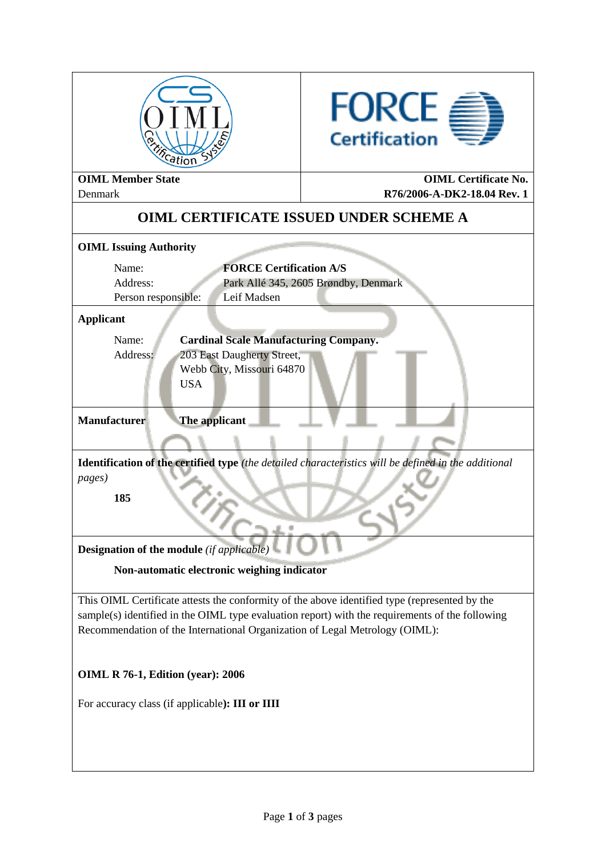| Reation                                                                                                                                                                                                                                                                         | <b>FORCE</b><br><b>Certification</b> |  |  |  |  |  |
|---------------------------------------------------------------------------------------------------------------------------------------------------------------------------------------------------------------------------------------------------------------------------------|--------------------------------------|--|--|--|--|--|
| <b>OIML Member State</b><br><b>OIML</b> Certificate No.<br>R76/2006-A-DK2-18.04 Rev. 1<br>Denmark                                                                                                                                                                               |                                      |  |  |  |  |  |
| <b>OIML CERTIFICATE ISSUED UNDER SCHEME A</b>                                                                                                                                                                                                                                   |                                      |  |  |  |  |  |
| <b>OIML Issuing Authority</b>                                                                                                                                                                                                                                                   |                                      |  |  |  |  |  |
| <b>FORCE Certification A/S</b><br>Name:<br>Address:<br>Park Allé 345, 2605 Brøndby, Denmark<br>Leif Madsen<br>Person responsible:                                                                                                                                               |                                      |  |  |  |  |  |
| <b>Applicant</b>                                                                                                                                                                                                                                                                |                                      |  |  |  |  |  |
| <b>Cardinal Scale Manufacturing Company.</b><br>Name:<br>Address:<br>203 East Daugherty Street,<br>Webb City, Missouri 64870<br><b>USA</b>                                                                                                                                      |                                      |  |  |  |  |  |
| <b>Manufacturer</b><br>The applicant                                                                                                                                                                                                                                            |                                      |  |  |  |  |  |
| Identification of the certified type (the detailed characteristics will be defined in the additional<br><i>pages</i> )<br>185                                                                                                                                                   |                                      |  |  |  |  |  |
| <b>Designation of the module</b> (if applicable)                                                                                                                                                                                                                                |                                      |  |  |  |  |  |
| Non-automatic electronic weighing indicator                                                                                                                                                                                                                                     |                                      |  |  |  |  |  |
| This OIML Certificate attests the conformity of the above identified type (represented by the<br>sample(s) identified in the OIML type evaluation report) with the requirements of the following<br>Recommendation of the International Organization of Legal Metrology (OIML): |                                      |  |  |  |  |  |
| <b>OIML R 76-1, Edition (year): 2006</b>                                                                                                                                                                                                                                        |                                      |  |  |  |  |  |
| For accuracy class (if applicable): III or IIII                                                                                                                                                                                                                                 |                                      |  |  |  |  |  |
|                                                                                                                                                                                                                                                                                 |                                      |  |  |  |  |  |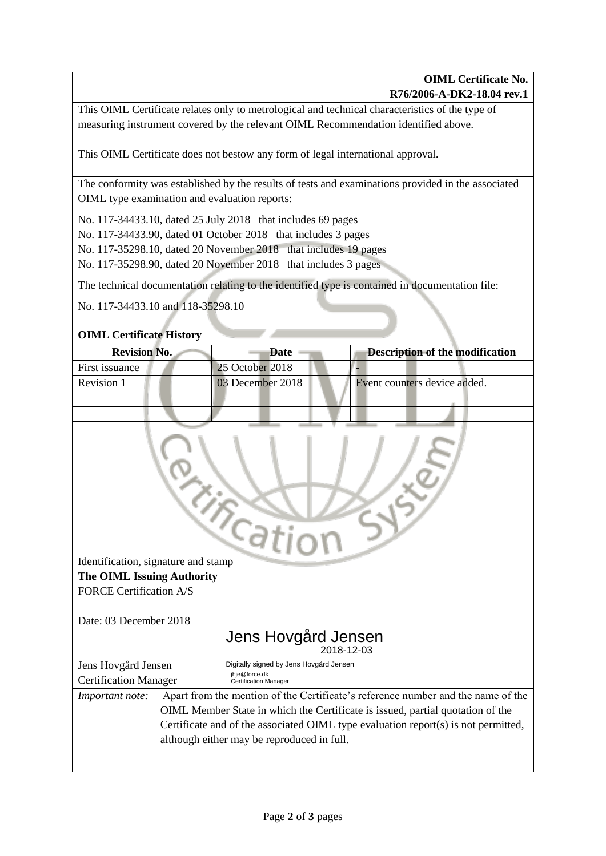This OIML Certificate relates only to metrological and technical characteristics of the type of measuring instrument covered by the relevant OIML Recommendation identified above.

This OIML Certificate does not bestow any form of legal international approval.

The conformity was established by the results of tests and examinations provided in the associated OIML type examination and evaluation reports:

No. 117-34433.10, dated 25 July 2018 that includes 69 pages

No. 117-34433.90, dated 01 October 2018 that includes 3 pages

No. 117-35298.10, dated 20 November 2018 that includes 19 pages

No. 117-35298.90, dated 20 November 2018 that includes 3 pages

The technical documentation relating to the identified type is contained in documentation file:

No. 117-34433.10 and 118-35298.10

## **OIML Certificate History**

| <b>Revision No.</b> | Date             | <b>Description of the modification</b> |
|---------------------|------------------|----------------------------------------|
| First issuance      | 25 October 2018  |                                        |
| Revision 1          | 03 December 2018 | Event counters device added.           |
|                     |                  |                                        |
|                     |                  |                                        |

| Identification, signature and stamp |  |  |  |
|-------------------------------------|--|--|--|
| <b>The OIML Issuing Authority</b>   |  |  |  |
| <b>FORCE Certification A/S</b>      |  |  |  |

Date: 03 December 2018

#### Jens Hovgård Jensen 2018-12-03

|                                                     |  |                                                                                          |  | _ _ _ _ _ _ _ _ _ _ _ |  |  |  |
|-----------------------------------------------------|--|------------------------------------------------------------------------------------------|--|-----------------------|--|--|--|
| Jens Hovgård Jensen<br><b>Certification Manager</b> |  | Digitally signed by Jens Hovgård Jensen<br>jhje@force.dk<br><b>Certification Manager</b> |  |                       |  |  |  |
|                                                     |  |                                                                                          |  |                       |  |  |  |

*Important note:* Apart from the mention of the Certificate's reference number and the name of the OIML Member State in which the Certificate is issued, partial quotation of the Certificate and of the associated OIML type evaluation report(s) is not permitted, although either may be reproduced in full.